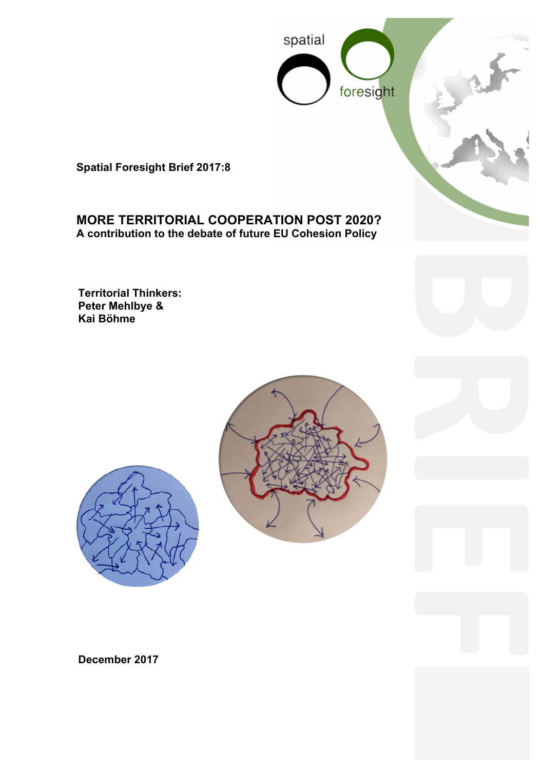

**Spatial Foresight Brief 2017:8**

# **MORE TERRITORIAL COOPERATION POST 2020? A contribution to the debate of future EU Cohesion Policy**

**Territorial Thinkers: Peter Mehlbye & Kai Böhme**





**December 2017**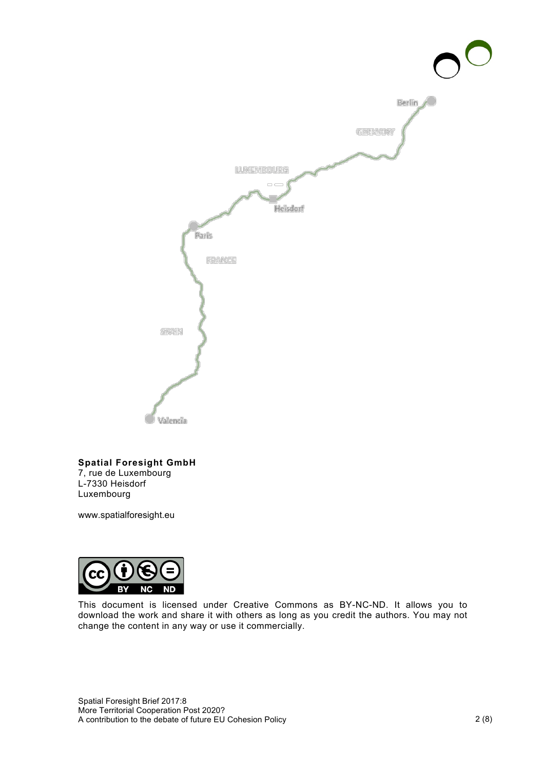

#### **Spatial Foresight GmbH** 7, rue de Luxembourg

L-7330 Heisdorf Luxembourg

www.spatialforesight.eu



This document is licensed under Creative Commons as BY-NC-ND. It allows you to download the work and share it with others as long as you credit the authors. You may not change the content in any way or use it commercially.

Spatial Foresight Brief 2017:8 More Territorial Cooperation Post 2020? A contribution to the debate of future EU Cohesion Policy 2 (8)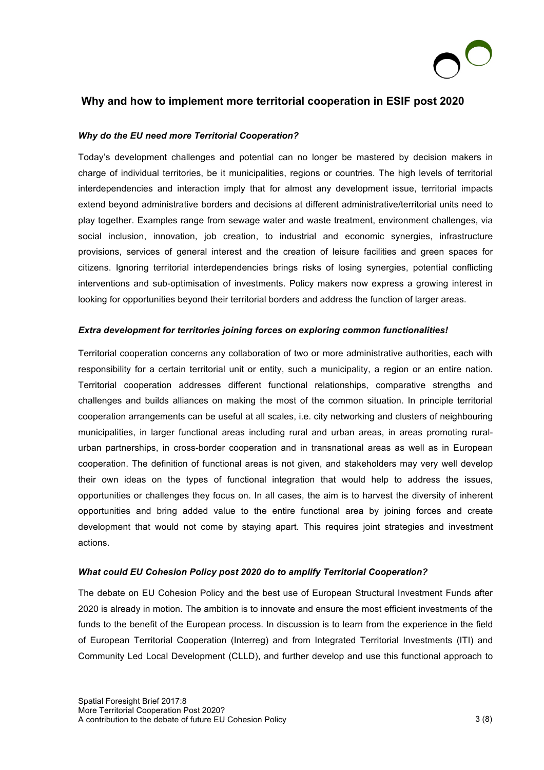

## **Why and how to implement more territorial cooperation in ESIF post 2020**

### *Why do the EU need more Territorial Cooperation?*

Today's development challenges and potential can no longer be mastered by decision makers in charge of individual territories, be it municipalities, regions or countries. The high levels of territorial interdependencies and interaction imply that for almost any development issue, territorial impacts extend beyond administrative borders and decisions at different administrative/territorial units need to play together. Examples range from sewage water and waste treatment, environment challenges, via social inclusion, innovation, job creation, to industrial and economic synergies, infrastructure provisions, services of general interest and the creation of leisure facilities and green spaces for citizens. Ignoring territorial interdependencies brings risks of losing synergies, potential conflicting interventions and sub-optimisation of investments. Policy makers now express a growing interest in looking for opportunities beyond their territorial borders and address the function of larger areas.

#### *Extra development for territories joining forces on exploring common functionalities!*

Territorial cooperation concerns any collaboration of two or more administrative authorities, each with responsibility for a certain territorial unit or entity, such a municipality, a region or an entire nation. Territorial cooperation addresses different functional relationships, comparative strengths and challenges and builds alliances on making the most of the common situation. In principle territorial cooperation arrangements can be useful at all scales, i.e. city networking and clusters of neighbouring municipalities, in larger functional areas including rural and urban areas, in areas promoting ruralurban partnerships, in cross-border cooperation and in transnational areas as well as in European cooperation. The definition of functional areas is not given, and stakeholders may very well develop their own ideas on the types of functional integration that would help to address the issues, opportunities or challenges they focus on. In all cases, the aim is to harvest the diversity of inherent opportunities and bring added value to the entire functional area by joining forces and create development that would not come by staying apart. This requires joint strategies and investment actions.

#### *What could EU Cohesion Policy post 2020 do to amplify Territorial Cooperation?*

The debate on EU Cohesion Policy and the best use of European Structural Investment Funds after 2020 is already in motion. The ambition is to innovate and ensure the most efficient investments of the funds to the benefit of the European process. In discussion is to learn from the experience in the field of European Territorial Cooperation (Interreg) and from Integrated Territorial Investments (ITI) and Community Led Local Development (CLLD), and further develop and use this functional approach to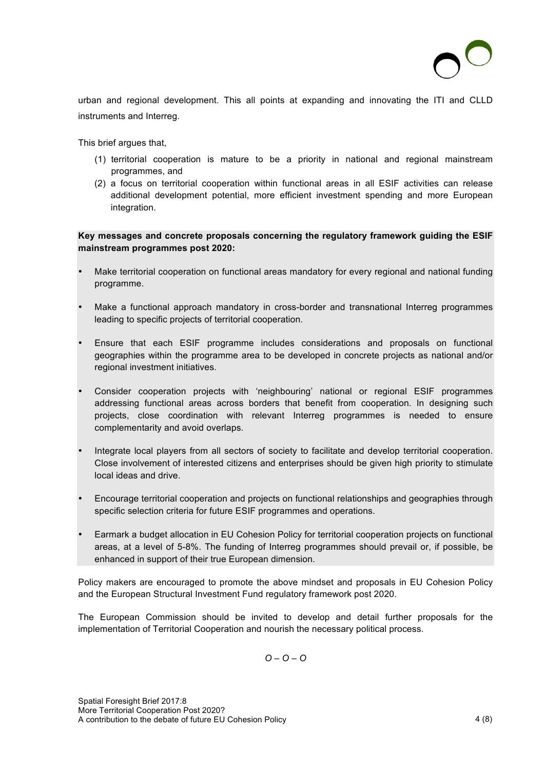

urban and regional development. This all points at expanding and innovating the ITI and CLLD instruments and Interreg.

This brief argues that,

- (1) territorial cooperation is mature to be a priority in national and regional mainstream programmes, and
- (2) a focus on territorial cooperation within functional areas in all ESIF activities can release additional development potential, more efficient investment spending and more European integration.

**Key messages and concrete proposals concerning the regulatory framework guiding the ESIF mainstream programmes post 2020:**

- Make territorial cooperation on functional areas mandatory for every regional and national funding programme.
- Make a functional approach mandatory in cross-border and transnational Interreg programmes leading to specific projects of territorial cooperation.
- Ensure that each ESIF programme includes considerations and proposals on functional geographies within the programme area to be developed in concrete projects as national and/or regional investment initiatives.
- Consider cooperation projects with 'neighbouring' national or regional ESIF programmes addressing functional areas across borders that benefit from cooperation. In designing such projects, close coordination with relevant Interreg programmes is needed to ensure complementarity and avoid overlaps.
- Integrate local players from all sectors of society to facilitate and develop territorial cooperation. Close involvement of interested citizens and enterprises should be given high priority to stimulate local ideas and drive.
- Encourage territorial cooperation and projects on functional relationships and geographies through specific selection criteria for future ESIF programmes and operations.
- Earmark a budget allocation in EU Cohesion Policy for territorial cooperation projects on functional areas, at a level of 5-8%. The funding of Interreg programmes should prevail or, if possible, be enhanced in support of their true European dimension.

Policy makers are encouraged to promote the above mindset and proposals in EU Cohesion Policy and the European Structural Investment Fund regulatory framework post 2020.

The European Commission should be invited to develop and detail further proposals for the implementation of Territorial Cooperation and nourish the necessary political process.

*O – O – O*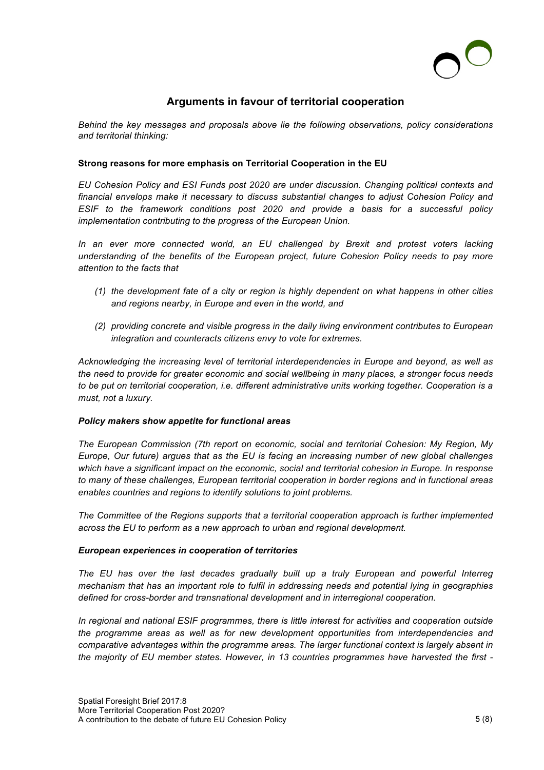

## **Arguments in favour of territorial cooperation**

*Behind the key messages and proposals above lie the following observations, policy considerations and territorial thinking:*

### **Strong reasons for more emphasis on Territorial Cooperation in the EU**

*EU Cohesion Policy and ESI Funds post 2020 are under discussion. Changing political contexts and financial envelops make it necessary to discuss substantial changes to adjust Cohesion Policy and ESIF to the framework conditions post 2020 and provide a basis for a successful policy implementation contributing to the progress of the European Union.* 

*In an ever more connected world, an EU challenged by Brexit and protest voters lacking understanding of the benefits of the European project, future Cohesion Policy needs to pay more attention to the facts that*

- *(1) the development fate of a city or region is highly dependent on what happens in other cities and regions nearby, in Europe and even in the world, and*
- *(2) providing concrete and visible progress in the daily living environment contributes to European integration and counteracts citizens envy to vote for extremes.*

*Acknowledging the increasing level of territorial interdependencies in Europe and beyond, as well as the need to provide for greater economic and social wellbeing in many places, a stronger focus needs to be put on territorial cooperation, i.e. different administrative units working together. Cooperation is a must, not a luxury.* 

#### *Policy makers show appetite for functional areas*

*The European Commission (7th report on economic, social and territorial Cohesion: My Region, My Europe, Our future) argues that as the EU is facing an increasing number of new global challenges which have a significant impact on the economic, social and territorial cohesion in Europe. In response to many of these challenges, European territorial cooperation in border regions and in functional areas enables countries and regions to identify solutions to joint problems.* 

*The Committee of the Regions supports that a territorial cooperation approach is further implemented across the EU to perform as a new approach to urban and regional development.*

#### *European experiences in cooperation of territories*

*The EU has over the last decades gradually built up a truly European and powerful Interreg mechanism that has an important role to fulfil in addressing needs and potential lying in geographies defined for cross-border and transnational development and in interregional cooperation.* 

*In regional and national ESIF programmes, there is little interest for activities and cooperation outside the programme areas as well as for new development opportunities from interdependencies and comparative advantages within the programme areas. The larger functional context is largely absent in the majority of EU member states. However, in 13 countries programmes have harvested the first -*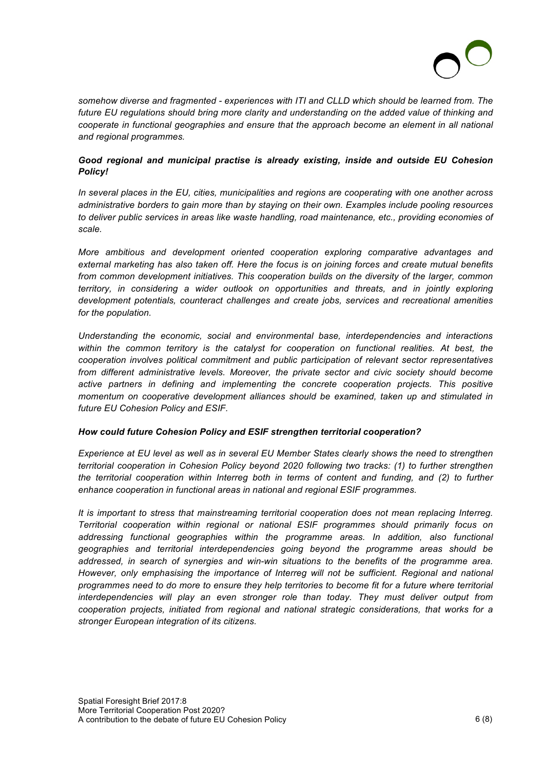

*somehow diverse and fragmented - experiences with ITI and CLLD which should be learned from. The future EU regulations should bring more clarity and understanding on the added value of thinking and cooperate in functional geographies and ensure that the approach become an element in all national and regional programmes.* 

## *Good regional and municipal practise is already existing, inside and outside EU Cohesion Policy!*

*In several places in the EU, cities, municipalities and regions are cooperating with one another across administrative borders to gain more than by staying on their own. Examples include pooling resources to deliver public services in areas like waste handling, road maintenance, etc., providing economies of scale.* 

*More ambitious and development oriented cooperation exploring comparative advantages and external marketing has also taken off. Here the focus is on joining forces and create mutual benefits from common development initiatives. This cooperation builds on the diversity of the larger, common territory, in considering a wider outlook on opportunities and threats, and in jointly exploring development potentials, counteract challenges and create jobs, services and recreational amenities for the population.* 

*Understanding the economic, social and environmental base, interdependencies and interactions*  within the common territory is the catalyst for cooperation on functional realities. At best, the *cooperation involves political commitment and public participation of relevant sector representatives*  from different administrative levels. Moreover, the private sector and civic society should become active partners in defining and implementing the concrete cooperation projects. This positive *momentum on cooperative development alliances should be examined, taken up and stimulated in future EU Cohesion Policy and ESIF.* 

## *How could future Cohesion Policy and ESIF strengthen territorial cooperation?*

*Experience at EU level as well as in several EU Member States clearly shows the need to strengthen territorial cooperation in Cohesion Policy beyond 2020 following two tracks: (1) to further strengthen the territorial cooperation within Interreg both in terms of content and funding, and (2) to further enhance cooperation in functional areas in national and regional ESIF programmes.* 

*It is important to stress that mainstreaming territorial cooperation does not mean replacing Interreg. Territorial cooperation within regional or national ESIF programmes should primarily focus on addressing functional geographies within the programme areas. In addition, also functional geographies and territorial interdependencies going beyond the programme areas should be addressed, in search of synergies and win-win situations to the benefits of the programme area. However, only emphasising the importance of Interreg will not be sufficient. Regional and national programmes need to do more to ensure they help territories to become fit for a future where territorial interdependencies will play an even stronger role than today. They must deliver output from cooperation projects, initiated from regional and national strategic considerations, that works for a stronger European integration of its citizens.*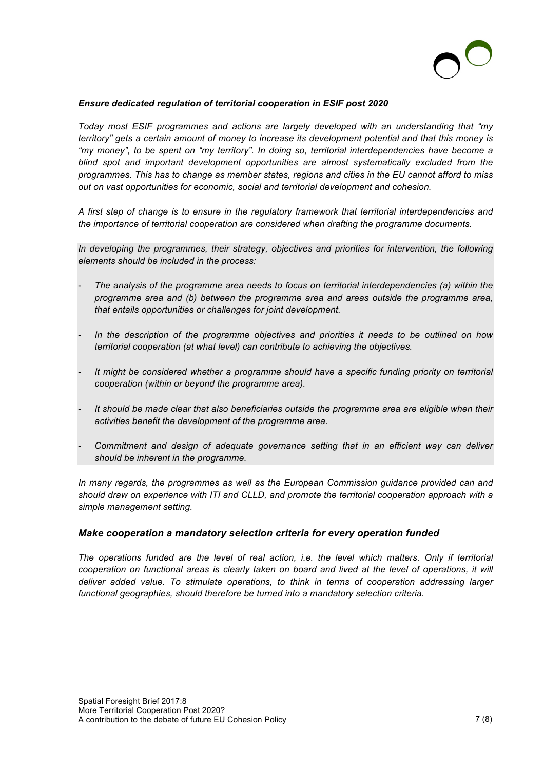

#### *Ensure dedicated regulation of territorial cooperation in ESIF post 2020*

*Today most ESIF programmes and actions are largely developed with an understanding that "my territory" gets a certain amount of money to increase its development potential and that this money is "my money", to be spent on "my territory". In doing so, territorial interdependencies have become a blind spot and important development opportunities are almost systematically excluded from the programmes. This has to change as member states, regions and cities in the EU cannot afford to miss out on vast opportunities for economic, social and territorial development and cohesion.*

*A first step of change is to ensure in the regulatory framework that territorial interdependencies and the importance of territorial cooperation are considered when drafting the programme documents.* 

*In developing the programmes, their strategy, objectives and priorities for intervention, the following elements should be included in the process:* 

- *The analysis of the programme area needs to focus on territorial interdependencies (a) within the programme area and (b) between the programme area and areas outside the programme area, that entails opportunities or challenges for joint development.*
- In the description of the programme objectives and priorities it needs to be outlined on how *territorial cooperation (at what level) can contribute to achieving the objectives.*
- It might be considered whether a programme should have a specific funding priority on territorial *cooperation (within or beyond the programme area).*
- It should be made clear that also beneficiaries outside the programme area are eligible when their *activities benefit the development of the programme area.*
- *Commitment and design of adequate governance setting that in an efficient way can deliver should be inherent in the programme.*

*In many regards, the programmes as well as the European Commission guidance provided can and should draw on experience with ITI and CLLD, and promote the territorial cooperation approach with a simple management setting.* 

#### *Make cooperation a mandatory selection criteria for every operation funded*

*The operations funded are the level of real action, i.e. the level which matters. Only if territorial cooperation on functional areas is clearly taken on board and lived at the level of operations, it will deliver added value. To stimulate operations, to think in terms of cooperation addressing larger functional geographies, should therefore be turned into a mandatory selection criteria.*